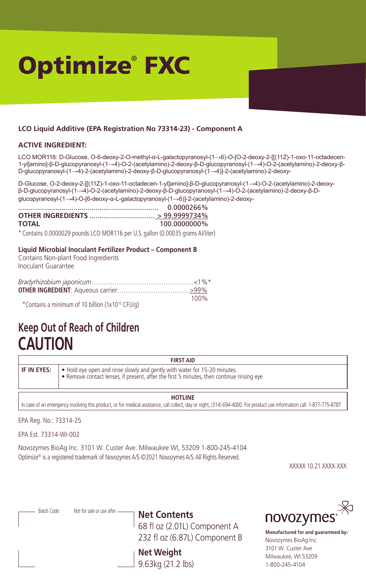# Optimize® FXC

# **LCO Liquid Additive (EPA Registration No 73314-23) - Component A**

#### **ACTIVE INGREDIENT:**

LCO MOR116: D-Glucose, O-6-deoxy-2-O-methyl-α-L-galactopyranosyl-(1→6)-O-[O-2-deoxy-2-[[(11Z)-1-oxo-11-octadecen-1-yl]amino]-β-D-glucopyranosyl-(1→4)-O-2-(acetylamino)-2-deoxy-β-D-glucopyranosyl-(1→4)-O-2-(acetylamino)-2-deoxy-β-D-glucopyranosyl-(1→4)-2-(acetylamino)-2-deoxy-β-D-glucopyranosyl-(1→4)]-2-(acetylamino)-2-deoxy-

D-Glucose, O-2-deoxy-2-[[(11Z)-1-oxo-11-octadecen-1-yl]amino]-β-D-glucopyranosyl-(1→4)-O-2-(acetylamino)-2-deoxyβ-D-glucopyranosyl-(1→4)-O-2-(acetylamino)-2-deoxy-β-D-glucopyranosyl-(1→4)-O-2-(acetylamino)-2-deoxy-β-Dglucopyranosyl-(1→4)-O-[6-deoxy-α-L-galactopyranosyl-(1→6)]-2-(acetylamino)-2-deoxy-

|              | 0.0000266%   |
|--------------|--------------|
|              |              |
| <b>TOTAL</b> | 100.0000000% |

\* Contains 0.0000029 pounds LCO MOR116 per U.S. gallon (0.00035 grams AI/liter)

#### **Liquid Microbial Inoculant Fertilizer Product – Component B**

Contains Non-plant Food Ingredients Inoculant Guarantee

| *Contains a minimum of 10 billion (1x10 <sup>10</sup> CFU/g) | 100% |
|--------------------------------------------------------------|------|
|                                                              |      |

# **Keep Out of Reach of Children CAUTION**

| <b>FIRST AID</b>   |                                                                                                                                                                      |  |  |
|--------------------|----------------------------------------------------------------------------------------------------------------------------------------------------------------------|--|--|
| <b>IF IN EYES:</b> | • Hold eye open and rinse slowly and gently with water for 15-20 minutes.<br>Remove contact lenses, if present, after the first 5 minutes, then continue rinsing eye |  |  |

**HOTLINE**

In case of an emergency involving this product, or for medical assistance, call collect, day or night, (314) 694-4000. For product use information call: 1-877-775-8787

EPA Reg. No.: 73314-25

EPA Est. 73314-WI-002

Novozymes BioAg Inc. 3101 W. Custer Ave. Milwaukee WI, 53209 1-800-245-4104 Optimize® is a registered trademark of Novozymes A/S ©2021 Novozymes A/S. All Rights Reserved.

XXXXX 10.21 XXXX-XXX

| Batch Code: | Not for sale or use after - | Net Contents<br>68 fl oz (2.01L) Component A<br>232 fl oz (6.87L) Component B | novozymes <sup>®</sup><br>Manufactured for and quaranteed by:<br>Novozymes BioAq Inc. |
|-------------|-----------------------------|-------------------------------------------------------------------------------|---------------------------------------------------------------------------------------|
|             |                             | <b>Net Weight</b><br>9.63kg (21.2 lbs)                                        | 3101 W. Custer Ave<br>Milwaukee, WI 53209<br>1-800-245-4104                           |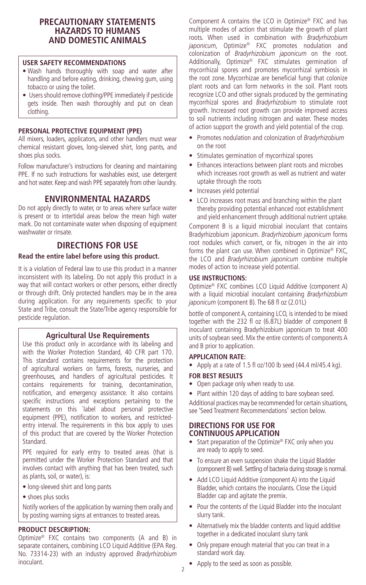# **PRECAUTIONARY STATEMENTS HAZARDS TO HUMANS AND DOMESTIC ANIMALS**

#### **USER SAFETY RECOMMENDATIONS**

- Wash hands thoroughly with soap and water after handling and before eating, drinking, chewing gum, using tobacco or using the toilet.
- Users should remove clothing/PPE immediately if pesticide gets inside. Then wash thoroughly and put on clean clothing.

#### **PERSONAL PROTECTIVE EQUIPMENT (PPE)**

All mixers, loaders, applicators, and other handlers must wear chemical resistant gloves, long-sleeved shirt, long pants, and shoes plus socks.

Follow manufacturer's instructions for cleaning and maintaining PPE. If no such instructions for washables exist, use detergent and hot water. Keep and wash PPE separately from other laundry.

# **ENVIRONMENTAL HAZARDS**

Do not apply directly to water, or to areas where surface water is present or to intertidal areas below the mean high water mark. Do not contaminate water when disposing of equipment washwater or rinsate.

# **DIRECTIONS FOR USE**

#### **Read the entire label before using this product.**

It is a violation of Federal law to use this product in a manner inconsistent with its labeling. Do not apply this product in a way that will contact workers or other persons, either directly or through drift. Only protected handlers may be in the area during application. For any requirements specific to your State and Tribe, consult the State/Tribe agency responsible for pesticide regulation.

# **Agricultural Use Requirements**

Use this product only in accordance with its labeling and with the Worker Protection Standard, 40 CFR part 170. This standard contains requirements for the protection of agricultural workers on farms, forests, nurseries, and greenhouses, and handlers of agricultural pesticides. It contains requirements for training, decontamination, notification, and emergency assistance. It also contains specific instructions and exceptions pertaining to the statements on this `label about personal protective equipment (PPE), notification to workers, and restrictedentry interval. The requirements in this box apply to uses of this product that are covered by the Worker Protection Standard.

PPE required for early entry to treated areas (that is permitted under the Worker Protection Standard and that involves contact with anything that has been treated, such as plants, soil, or water), is:

- long-sleeved shirt and long pants
- shoes plus socks

Notify workers of the application by warning them orally and by posting warning signs at entrances to treated areas.

### **PRODUCT DESCRIPTION:**

Optimize® FXC contains two components (A and B) in separate containers, combining LCO Liquid Additive (EPA Reg. No. 73314-23) with an industry approved *Bradyrhizobium*  inoculant.

Component A contains the LCO in Optimize® FXC and has multiple modes of action that stimulate the growth of plant roots. When used in combination with *Bradyrhizobium japonicum*, Optimize® FXC promotes nodulation and colonization of *Bradyrhizobium japonicum* on the root. Additionally, Optimize® FXC stimulates germination of mycorrhizal spores and promotes mycorrhizal symbiosis in the root zone. Mycorrhizae are beneficial fungi that colonize plant roots and can form networks in the soil. Plant roots recognize LCO and other signals produced by the germinating mycorrhizal spores and *Bradyrhizobium* to stimulate root growth. Increased root growth can provide improved access to soil nutrients including nitrogen and water. These modes of action support the growth and yield potential of the crop.

- Promotes nodulation and colonization of *Bradyrhizobium* on the root
- Stimulates germination of mycorrhizal spores
- Enhances interactions between plant roots and microbes which increases root growth as well as nutrient and water uptake through the roots
- Increases yield potential
- LCO increases root mass and branching within the plant thereby providing potential enhanced root establishment and yield enhancement through additional nutrient uptake.

Component B is a liquid microbial inoculant that contains Bradyrhizobium japonicum. *Bradyrhizobium japonicum* forms root nodules which convert, or fix, nitrogen in the air into forms the plant can use. When combined in Optimize® FXC, the LCO and *Bradyrhizobium japonicum* combine multiple modes of action to increase yield potential.

#### **USE INSTRUCTIONS:**

Optimize® FXC combines LCO Liquid Additive (component A) with a liquid microbial inoculant containing *Bradyrhizobium japonicum* (component B). The 68 fl oz (2.01L)

bottle of component A, containing LCO, is intended to be mixed together with the 232 fl oz (6.87L) bladder of component B inoculant containing Bradyrhizobium japonicum to treat 400 units of soybean seed. Mix the entire contents of components A and B prior to application.

#### **APPLICATION RATE:**

• Apply at a rate of 1.5 fl oz/100 lb seed (44.4 ml/45.4 kg).

#### **FOR BEST RESULTS**

- Open package only when ready to use.
- Plant within 120 days of adding to bare soybean seed.

Additional practices may be recommended for certain situations, see 'Seed Treatment Recommendations' section below.

### **DIRECTIONS FOR USE FOR CONTINUOUS APPLICATION**

- Start preparation of the Optimize® FXC only when you are ready to apply to seed.
- To ensure an even suspension shake the Liquid Bladder (component B) well. Settling of bacteria during storage is normal.
- Add LCO Liquid Additive (component A) into the Liquid Bladder, which contains the inoculants. Close the Liquid Bladder cap and agitate the premix.
- Pour the contents of the Liquid Bladder into the inoculant slurry tank.
- Alternatively mix the bladder contents and liquid additive together in a dedicated inoculant slurry tank
- Only prepare enough material that you can treat in a standard work day.
- Apply to the seed as soon as possible.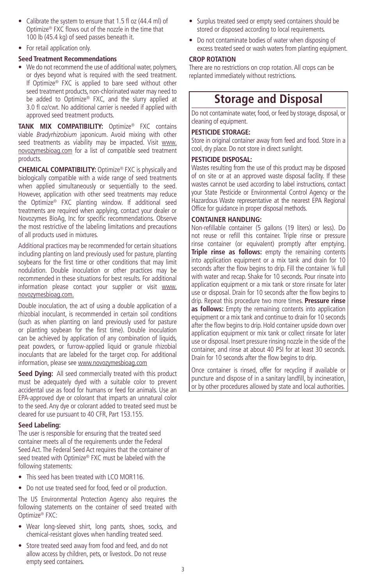- Calibrate the system to ensure that 1.5 fl oz (44.4 ml) of Optimize® FXC flows out of the nozzle in the time that 100 lb (45.4 kg) of seed passes beneath it.
- For retail application only.

# **Seed Treatment Recommendations**

• We do not recommend the use of additional water, polymers, or dyes beyond what is required with the seed treatment. If Optimize® FXC is applied to bare seed without other seed treatment products, non-chlorinated water may need to be added to Optimize® FXC, and the slurry applied at 3.0 fl oz/cwt. No additional carrier is needed if applied with approved seed treatment products.

**TANK MIX COMPATIBILITY:** Optimize® FXC contains viable *Bradyrhizobium* japonicum. Avoid mixing with other seed treatments as viability may be impacted. Visit www. novozymesbioag.com for a list of compatible seed treatment products.

**CHEMICAL COMPATIBILITY:** Optimize® FXC is physically and biologically compatible with a wide range of seed treatments when applied simultaneously or sequentially to the seed. However, application with other seed treatments may reduce the Optimize® FXC planting window. If additional seed treatments are required when applying, contact your dealer or Novozymes BioAg, Inc for specific recommendations. Observe the most restrictive of the labeling limitations and precautions of all products used in mixtures.

Additional practices may be recommended for certain situations including planting on land previously used for pasture, planting soybeans for the first time or other conditions that may limit nodulation. Double inoculation or other practices may be recommended in these situations for best results. For additional information please contact your supplier or visit www. novozymesbioag.com.

Double inoculation, the act of using a double application of a rhizobial inoculant, is recommended in certain soil conditions (such as when planting on land previously used for pasture or planting soybean for the first time). Double inoculation can be achieved by application of any combination of liquids, peat powders, or furrow-applied liquid or granule rhizobial inoculants that are labeled for the target crop. For additional information, please see www.novozymesbioag.com

Seed Dying: All seed commercially treated with this product must be adequately dyed with a suitable color to prevent accidental use as food for humans or feed for animals. Use an EPA-approved dye or colorant that imparts an unnatural color to the seed. Any dye or colorant added to treated seed must be cleared for use pursuant to 40 CFR, Part 153.155.

# **Seed Labeling:**

The user is responsible for ensuring that the treated seed container meets all of the requirements under the Federal Seed Act. The Federal Seed Act requires that the container of seed treated with Optimize® FXC must be labeled with the following statements:

- This seed has been treated with LCO MOR116.
- Do not use treated seed for food, feed or oil production.

The US Environmental Protection Agency also requires the following statements on the container of seed treated with Optimize® FXC:

- Wear long-sleeved shirt, long pants, shoes, socks, and chemical-resistant gloves when handling treated seed.
- Store treated seed away from food and feed, and do not allow access by children, pets, or livestock. Do not reuse empty seed containers.
- Surplus treated seed or empty seed containers should be stored or disposed according to local requirements.
- Do not contaminate bodies of water when disposing of excess treated seed or wash waters from planting equipment.

# **CROP ROTATION**

There are no restrictions on crop rotation. All crops can be replanted immediately without restrictions.

# **Storage and Disposal**

Do not contaminate water, food, or feed by storage, disposal, or cleaning of equipment.

# **PESTICIDE STORAGE:**

Store in original container away from feed and food. Store in a cool, dry place. Do not store in direct sunlight.

# **PESTICIDE DISPOSAL:**

Wastes resulting from the use of this product may be disposed of on site or at an approved waste disposal facility. If these wastes cannot be used according to label instructions, contact your State Pesticide or Environmental Control Agency or the Hazardous Waste representative at the nearest EPA Regional Office for guidance in proper disposal methods.

# **CONTAINER HANDLING:**

Non-refillable container (5 gallons (19 liters) or less). Do not reuse or refill this container. Triple rinse or pressure rinse container (or equivalent) promptly after emptying. **Triple rinse as follows:** empty the remaining contents into application equipment or a mix tank and drain for 10 seconds after the flow begins to drip. Fill the container 1/4 full with water and recap. Shake for 10 seconds. Pour rinsate into application equipment or a mix tank or store rinsate for later use or disposal. Drain for 10 seconds after the flow begins to drip. Repeat this procedure two more times. **Pressure rinse as follows:** Empty the remaining contents into application equipment or a mix tank and continue to drain for 10 seconds after the flow begins to drip. Hold container upside down over application equipment or mix tank or collect rinsate for later use or disposal. Insert pressure rinsing nozzle in the side of the container, and rinse at about 40 PSI for at least 30 seconds. Drain for 10 seconds after the flow begins to drip.

Once container is rinsed, offer for recycling if available or puncture and dispose of in a sanitary landfill, by incineration, or by other procedures allowed by state and local authorities.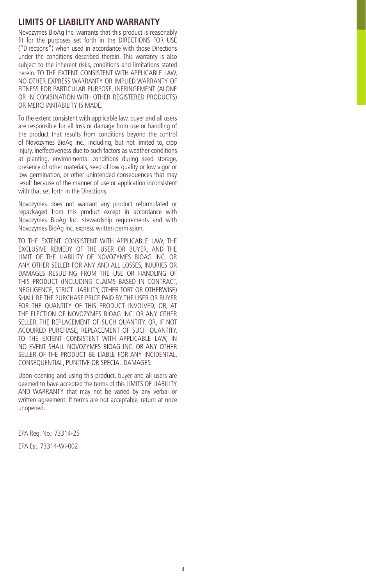# **LIMITS OF LIABILITY AND WARRANTY**

Novozymes BioAg Inc. warrants that this product is reasonably fit for the purposes set forth in the DIRECTIONS FOR USE ("Directions") when used in accordance with those Directions under the conditions described therein. This warranty is also subject to the inherent risks, conditions and limitations stated herein. TO THE EXTENT CONSISTENT WITH APPLICABLE LAW. NO OTHER EXPRESS WARRANTY OR IMPLIED WARRANTY OF FITNESS FOR PARTICULAR PURPOSE, INFRINGEMENT (ALONE OR IN COMBINATION WITH OTHER REGISTERED PRODUCTS) OR MERCHANTABILITY IS MADE.

To the extent consistent with applicable law, buyer and all users are responsible for all loss or damage from use or handling of the product that results from conditions beyond the control of Novozymes BioAg Inc., including, but not limited to, crop injury, ineffectiveness due to such factors as weather conditions at planting, environmental conditions during seed storage, presence of other materials, seed of low quality or low vigor or low germination, or other unintended consequences that may result because of the manner of use or application inconsistent with that set forth in the Directions.

Novozymes does not warrant any product reformulated or repackaged from this product except in accordance with Novozymes BioAg Inc. stewardship requirements and with Novozymes BioAg Inc. express written permission.

TO THE EXTENT CONSISTENT WITH APPLICABLE LAW, THE EXCLUSIVE REMEDY OF THE USER OR BUYER, AND THE LIMIT OF THE LIABILITY OF NOVOZYMES BIOAG INC. OR ANY OTHER SELLER FOR ANY AND ALL LOSSES, INJURIES OR DAMAGES RESULTING FROM THE USE OR HANDLING OF THIS PRODUCT (INCLUDING CLAIMS BASED IN CONTRACT, NEGLIGENCE, STRICT LIABILITY, OTHER TORT OR OTHERWISE) SHALL BE THE PURCHASE PRICE PAID BY THE USER OR BUYER FOR THE QUANTITY OF THIS PRODUCT INVOLVED, OR, AT THE ELECTION OF NOVOZYMES BIOAG INC. OR ANY OTHER SELLER, THE REPLACEMENT OF SUCH QUANTITY, OR, IF NOT ACQUIRED PURCHASE, REPLACEMENT OF SUCH QUANTITY. TO THE EXTENT CONSISTENT WITH APPLICABLE LAW, IN NO EVENT SHALL NOVOZYMES BIOAG INC. OR ANY OTHER SELLER OF THE PRODUCT BE LIABLE FOR ANY INCIDENTAL. CONSEQUENTIAL, PUNITIVE OR SPECIAL DAMAGES.

Upon opening and using this product, buyer and all users are deemed to have accepted the terms of this LIMITS OF LIABILITY AND WARRANTY that may not be varied by any verbal or written agreement. If terms are not acceptable, return at once unopened.

EPA Reg. No.: 73314-25

EPA Est. 73314-WI-002